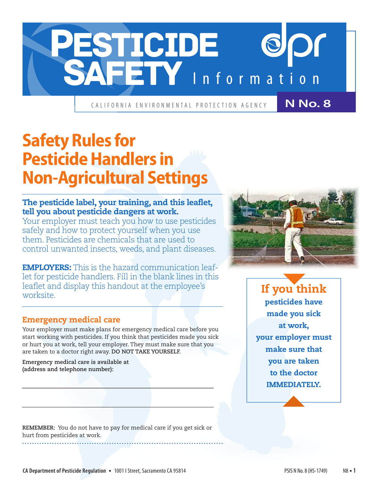

CALIFORNIA ENVIRONMENTAL PROTECTION AGENCY

**N No. 8**

# **Safety Rules for Pesticide Handlers in Non-Agricultural Settings**

## The pesticide label, your training, and this leaflet, tell you about pesticide dangers at work.

Your employer must teach you how to use pesticides safely and how to protect yourself when you use them. Pesticides are chemicals that are used to control unwanted insects, weeds, and plant diseases.

EMPLOYERS: This is the hazard communication leaflet for pesticide handlers. Fill in the blank lines in this leaflet and display this handout at the employee's worksite.

### Emergency medical care

Your employer must make plans for emergency medical care before you start working with pesticides. If you think that pesticides made you sick or hurt you at work, tell your employer. They must make sure that you are taken to a doctor right away. **DO NOT TAKE YOURSELF.** 

**Emergency medical care is available at (address and telephone number):**

**REMEMBER:** You do not have to pay for medical care if you get sick or hurt from pesticides at work.



If you think pesticides have made you sick at work, your employer must make sure that you are taken to the doctor IMMEDIATELY.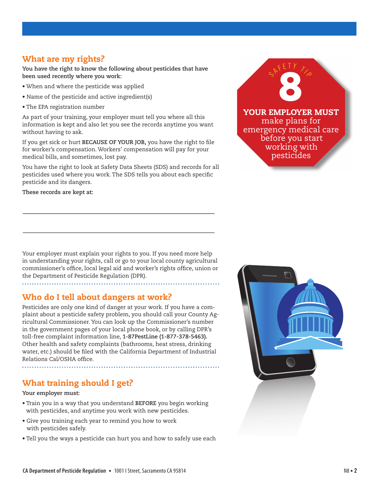#### What are my rights?

**You have the right to know the following about pesticides that have been used recently where you work:**

- When and where the pesticide was applied
- Name of the pesticide and active ingredient(s)
- The EPA registration number

As part of your training, your employer must tell you where all this information is kept and also let you see the records anytime you want without having to ask.

If you get sick or hurt **BECAUSE OF YOUR JOB,** you have the right to file for worker's compensation. Workers' compensation will pay for your medical bills, and sometimes, lost pay.

You have the right to look at Safety Data Sheets (SDS) and records for all pesticides used where you work. The SDS tells you about each specific pesticide and its dangers.

**These records are kept at:**



Your employer must explain your rights to you. If you need more help in understanding your rights, call or go to your local county agricultural commissioner's office, local legal aid and worker's rights office, union or the Department of Pesticide Regulation (DPR).

#### Who do I tell about dangers at work?

Pesticides are only one kind of danger at your work. If you have a complaint about a pesticide safety problem, you should call your County Agricultural Commissioner. You can look up the Commissioner's number in the government pages of your local phone book, or by calling DPR's toll-free complaint information line, **1-87PestLine (1-877-378-5463).**  Other health and safety complaints (bathrooms, heat stress, drinking water, etc.) should be filed with the California Department of Industrial Relations Cal/OSHA office.

### What training should I get?

#### **Your employer must:**

- Train you in a way that you understand **BEFORE** you begin working with pesticides, and anytime you work with new pesticides.
- Give you training each year to remind you how to work with pesticides safely.

• Tell you the ways a pesticide can hurt you and how to safely use each

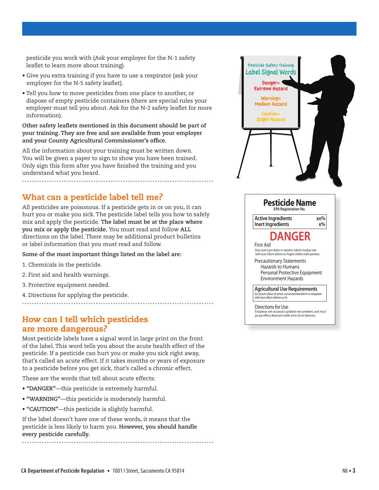pesticide you work with (Ask your employer for the N-1 safety leaflet to learn more about training).

- Give you extra training if you have to use a respirator (ask your employer for the N-5 safety leaflet).
- Tell you how to move pesticides from one place to another, or dispose of empty pesticide containers (there are special rules your employer must tell you about. Ask for the N-2 safety leaflet for more information).

**Other safety leaflets mentioned in this document should be part of your training. They are free and are available from your employer and your County Agricultural Commissioner's office.**

All the information about your training must be written down. You will be given a paper to sign to show you have been trained. Only sign this form after you have finished the training and you understand what you heard.

#### What can a pesticide label tell me?

All pesticides are poisonous. If a pesticide gets in or on you, it can hurt you or make you sick. The pesticide label tells you how to safely mix and apply the pesticide. **The label must be at the place where you mix or apply the pesticide.** You must read and follow **ALL** directions on the label. There may be additional product bulletins or label information that you must read and follow.

**Some of the most important things listed on the label are:**

1. Chemicals in the pesticide.

- 2. First aid and health warnings.
- 3. Protective equipment needed.
- 4. Directions for applying the pesticide.

#### How can I tell which pesticides are more dangerous?

Most pesticide labels have a signal word in large print on the front of the label. This word tells you about the acute health effect of the pesticide. If a pesticide can hurt you or make you sick right away, that's called an acute effect. If it takes months or years of exposure to a pesticide before you get sick, that's called a chronic effect.

These are the words that tell about acute effects:

- **"DANGER"**—this pesticide is extremely harmful.
- **"WARNING"**—this pesticide is moderately harmful.
- **"CAUTION"**—this pesticide is slightly harmful.

If the label doesn't have one of these words, it means that the pesticide is less likely to harm you. **However, you should handle every pesticide carefully.**



| <b>Active Ingredients</b><br>Inert Ingredients                                                                                     | хх%<br>$v^{0}$ |
|------------------------------------------------------------------------------------------------------------------------------------|----------------|
| <b>DANGER</b>                                                                                                                      |                |
| First Aid<br>Duis aute irure dolor in reprehe nderit involup tate<br>velit esse cillum dolore eu fugiat cididu nulla pariatur.     |                |
| <b>Precautionary Statements</b><br>Hazards to Humans<br>Personal Protective Equipment<br>Environment Hazards                       |                |
| <b>Agricultural Use Requirements</b><br>Em ipsum dolor sit amet, consectetuhenderit in voluptate<br>velit esse cillum dolore eu fu |                |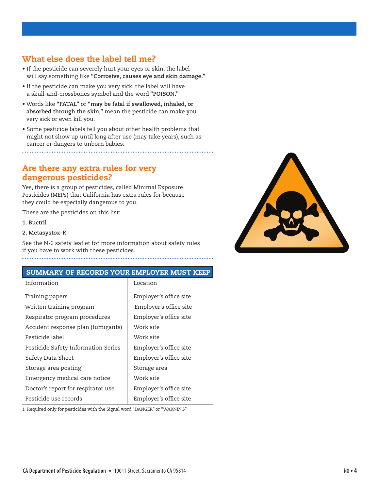## What else does the label tell me?

- If the pesticide can severely hurt your eyes or skin, the label will say something like **"Corrosive, causes eye and skin damage."**
- If the pesticide can make you very sick, the label will have a skull-and-crossbones symbol and the word **"POISON."**
- Words like **"FATAL"** or **"may be fatal if swallowed, inhaled, or absorbed through the skin,"** mean the pesticide can make you very sick or even kill you.
- Some pesticide labels tell you about other health problems that might not show up until long after use (may take years), such as cancer or dangers to unborn babies.

Are there any extra rules for very dangerous pesticides?

Yes, there is a group of pesticides, called Minimal Exposure Pesticides (MEPs) that California has extra rules for because they could be especially dangerous to you.

These are the pesticides on this list:

**1. Buctril**

#### **2. Metasystox-R**

See the N-6 safety leaflet for more information about safety rules if you have to work with these pesticides.

#### SUMMARY OF RECORDS YOUR EMPLOYER MUST KEEP

| Location               |
|------------------------|
|                        |
| Employer's office site |
| Employer's office site |
| Employer's office site |
| Work site              |
| Work site              |
| Employer's office site |
| Employer's office site |
| Storage area           |
| Work site              |
| Employer's office site |
| Employer's office site |
|                        |

1 Required only for pesticides with the Signal word "DANGER" or "WARNING"